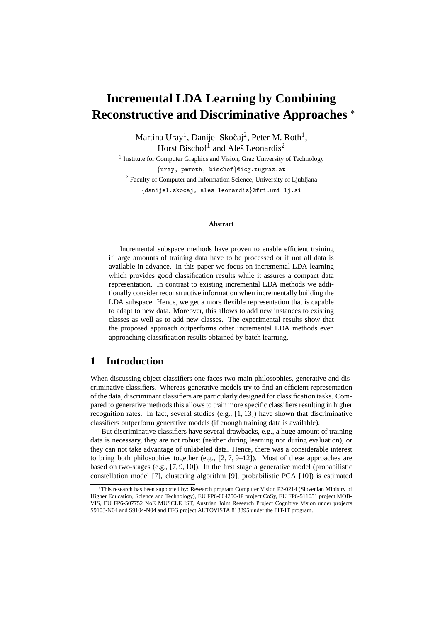# **Incremental LDA Learning by Combining Reconstructive and Discriminative Approaches** <sup>∗</sup>

Martina Uray<sup>1</sup>, Danijel Skočaj<sup>2</sup>, Peter M. Roth<sup>1</sup>, Horst Bischof<sup>1</sup> and Aleš Leonardis<sup>2</sup>

<sup>1</sup> Institute for Computer Graphics and Vision, Graz University of Technology {uray, pmroth, bischof}@icg.tugraz.at <sup>2</sup> Faculty of Computer and Information Science, University of Ljubljana {danijel.skocaj, ales.leonardis}@fri.uni-lj.si

#### **Abstract**

Incremental subspace methods have proven to enable efficient training if large amounts of training data have to be processed or if not all data is available in advance. In this paper we focus on incremental LDA learning which provides good classification results while it assures a compact data representation. In contrast to existing incremental LDA methods we additionally consider reconstructive information when incrementally building the LDA subspace. Hence, we get a more flexible representation that is capable to adapt to new data. Moreover, this allows to add new instances to existing classes as well as to add new classes. The experimental results show that the proposed approach outperforms other incremental LDA methods even approaching classification results obtained by batch learning.

# **1 Introduction**

When discussing object classifiers one faces two main philosophies, generative and discriminative classifiers. Whereas generative models try to find an efficient representation of the data, discriminant classifiers are particularly designed for classification tasks. Compared to generative methods this allows to train more specific classifiers resulting in higher recognition rates. In fact, several studies (e.g.,  $[1, 13]$ ) have shown that discriminative classifiers outperform generative models (if enough training data is available).

But discriminative classifiers have several drawbacks, e.g., a huge amount of training data is necessary, they are not robust (neither during learning nor during evaluation), or they can not take advantage of unlabeled data. Hence, there was a considerable interest to bring both philosophies together (e.g.,  $[2, 7, 9-12]$ ). Most of these approaches are based on two-stages (e.g.,  $[7, 9, 10]$ ). In the first stage a generative model (probabilistic constellation model [7], clustering algorithm [9], probabilistic PCA [10]) is estimated

<sup>∗</sup>This research has been supported by: Research program Computer Vision P2-0214 (Slovenian Ministry of Higher Education, Science and Technology), EU FP6-004250-IP project CoSy, EU FP6-511051 project MOB-VIS, EU FP6-507752 NoE MUSCLE IST, Austrian Joint Research Project Cognitive Vision under projects S9103-N04 and S9104-N04 and FFG project AUTOVISTA 813395 under the FIT-IT program.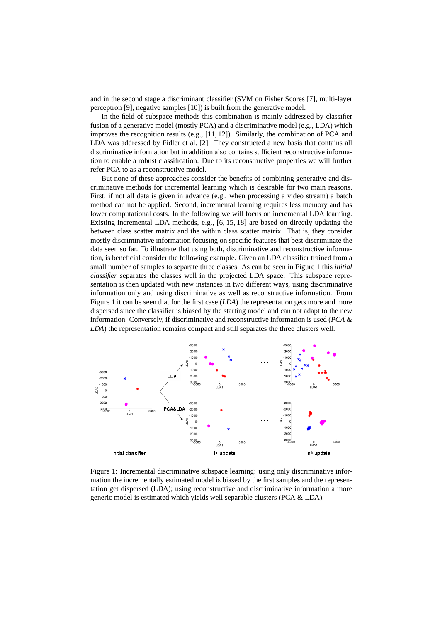and in the second stage a discriminant classifier (SVM on Fisher Scores [7], multi-layer perceptron [9], negative samples [10]) is built from the generative model.

In the field of subspace methods this combination is mainly addressed by classifier fusion of a generative model (mostly PCA) and a discriminative model (e.g., LDA) which improves the recognition results (e.g., [11, 12]). Similarly, the combination of PCA and LDA was addressed by Fidler et al. [2]. They constructed a new basis that contains all discriminative information but in addition also contains sufficient reconstructive information to enable a robust classification. Due to its reconstructive properties we will further refer PCA to as a reconstructive model.

But none of these approaches consider the benefits of combining generative and discriminative methods for incremental learning which is desirable for two main reasons. First, if not all data is given in advance (e.g., when processing a video stream) a batch method can not be applied. Second, incremental learning requires less memory and has lower computational costs. In the following we will focus on incremental LDA learning. Existing incremental LDA methods, e.g., [6, 15, 18] are based on directly updating the between class scatter matrix and the within class scatter matrix. That is, they consider mostly discriminative information focusing on specific features that best discriminate the data seen so far. To illustrate that using both, discriminative and reconstructive information, is beneficial consider the following example. Given an LDA classifier trained from a small number of samples to separate three classes. As can be seen in Figure 1 this *initial classifier* separates the classes well in the projected LDA space. This subspace representation is then updated with new instances in two different ways, using discriminative information only and using discriminative as well as reconstructive information. From Figure 1 it can be seen that for the first case (*LDA*) the representation gets more and more dispersed since the classifier is biased by the starting model and can not adapt to the new information. Conversely, if discriminative and reconstructive information is used (*PCA & LDA*) the representation remains compact and still separates the three clusters well.



Figure 1: Incremental discriminative subspace learning: using only discriminative information the incrementally estimated model is biased by the first samples and the representation get dispersed (LDA); using reconstructive and discriminative information a more generic model is estimated which yields well separable clusters (PCA & LDA).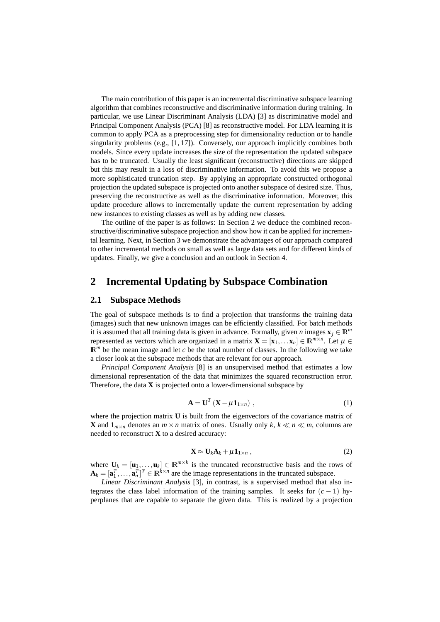The main contribution of this paper is an incremental discriminative subspace learning algorithm that combines reconstructive and discriminative information during training. In particular, we use Linear Discriminant Analysis (LDA) [3] as discriminative model and Principal Component Analysis (PCA) [8] as reconstructive model. For LDA learning it is common to apply PCA as a preprocessing step for dimensionality reduction or to handle singularity problems (e.g., [1, 17]). Conversely, our approach implicitly combines both models. Since every update increases the size of the representation the updated subspace has to be truncated. Usually the least significant (reconstructive) directions are skipped but this may result in a loss of discriminative information. To avoid this we propose a more sophisticated truncation step. By applying an appropriate constructed orthogonal projection the updated subspace is projected onto another subspace of desired size. Thus, preserving the reconstructive as well as the discriminative information. Moreover, this update procedure allows to incrementally update the current representation by adding new instances to existing classes as well as by adding new classes.

The outline of the paper is as follows: In Section 2 we deduce the combined reconstructive/discriminative subspace projection and show how it can be applied for incremental learning. Next, in Section 3 we demonstrate the advantages of our approach compared to other incremental methods on small as well as large data sets and for different kinds of updates. Finally, we give a conclusion and an outlook in Section 4.

### **2 Incremental Updating by Subspace Combination**

#### **2.1 Subspace Methods**

The goal of subspace methods is to find a projection that transforms the training data (images) such that new unknown images can be efficiently classified. For batch methods it is assumed that all training data is given in advance. Formally, given *n* images  $\mathbf{x}_i \in \mathbb{R}^m$ represented as vectors which are organized in a matrix  $\mathbf{X} = [\mathbf{x}_1, \dots \mathbf{x}_n] \in \mathbb{R}^{m \times n}$ . Let  $\mu \in$  $\mathbb{R}^m$  be the mean image and let *c* be the total number of classes. In the following we take a closer look at the subspace methods that are relevant for our approach.

*Principal Component Analysis* [8] is an unsupervised method that estimates a low dimensional representation of the data that minimizes the squared reconstruction error. Therefore, the data **X** is projected onto a lower-dimensional subspace by

$$
\mathbf{A} = \mathbf{U}^T \left( \mathbf{X} - \mu \mathbf{1}_{1 \times n} \right) , \tag{1}
$$

where the projection matrix **U** is built from the eigenvectors of the covariance matrix of **X** and  $\mathbf{1}_{m \times n}$  denotes an  $m \times n$  matrix of ones. Usually only  $k, k \ll n \ll m$ , columns are needed to reconstruct **X** to a desired accuracy:

$$
\mathbf{X} \approx \mathbf{U}_k \mathbf{A}_k + \mu \mathbf{1}_{1 \times n} \,, \tag{2}
$$

where  $\mathbf{U}_k = [\mathbf{u}_1, \dots, \mathbf{u}_k] \in \mathbb{R}^{m \times k}$  is the truncated reconstructive basis and the rows of  $\mathbf{A}_k = [\mathbf{a}_1^T, \dots, \mathbf{a}_n^T]^T \in \mathbb{R}^{\bar{k} \times n}$  are the image representations in the truncated subspace.

*Linear Discriminant Analysis* [3], in contrast, is a supervised method that also integrates the class label information of the training samples. It seeks for  $(c - 1)$  hyperplanes that are capable to separate the given data. This is realized by a projection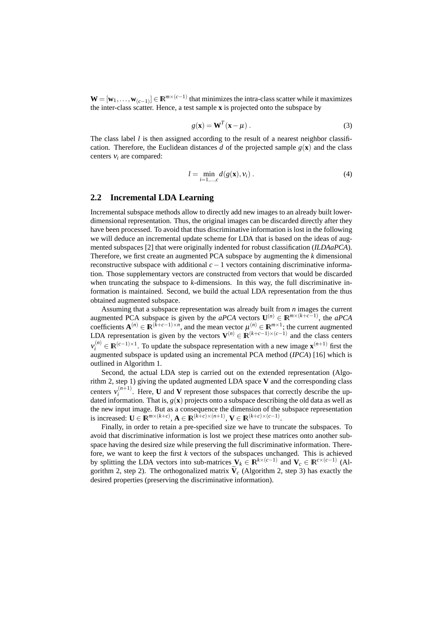$\mathbf{W} = [\mathbf{w}_1,\ldots,\mathbf{w}_{(c-1)}] \in \mathbb{R}^{m \times (c-1)}$  that minimizes the intra-class scatter while it maximizes the inter-class scatter. Hence, a test sample **x** is projected onto the subspace by

$$
g(\mathbf{x}) = \mathbf{W}^T(\mathbf{x} - \mu) \,. \tag{3}
$$

The class label *l* is then assigned according to the result of a nearest neighbor classification. Therefore, the Euclidean distances *d* of the projected sample  $g(\mathbf{x})$  and the class centers ν*<sup>i</sup>* are compared:

$$
l = \min_{i=1,\dots,c} d(g(\mathbf{x}), \mathbf{v}_i).
$$
 (4)

### **2.2 Incremental LDA Learning**

Incremental subspace methods allow to directly add new images to an already built lowerdimensional representation. Thus, the original images can be discarded directly after they have been processed. To avoid that thus discriminative information is lost in the following we will deduce an incremental update scheme for LDA that is based on the ideas of augmented subspaces [2] that were originally indented for robust classification (*ILDAaPCA*). Therefore, we first create an augmented PCA subspace by augmenting the *k* dimensional reconstructive subspace with additional *c*−1 vectors containing discriminative information. Those supplementary vectors are constructed from vectors that would be discarded when truncating the subspace to *k*-dimensions. In this way, the full discriminative information is maintained. Second, we build the actual LDA representation from the thus obtained augmented subspace.

Assuming that a subspace representation was already built from *n* images the current augmented PCA subspace is given by the *aPCA* vectors  $\mathbf{U}^{(n)} \in \mathbb{R}^{m \times (k+c-1)}$ , the *aPCA* coefficients  $\mathbf{A}^{(n)} \in \mathbb{R}^{(k+c-1)\times n}$ , and the mean vector  $\mu^{(n)} \in \mathbb{R}^{m\times 1}$ ; the current augmented LDA representation is given by the vectors  $V^{(n)} \in \mathbb{R}^{(k+c-1)\times(c-1)}$  and the class centers  $v_i^{(n)} \in \mathbb{R}^{(c-1)\times 1}$ . To update the subspace representation with a new image  $\mathbf{x}^{(n+1)}$  first the augmented subspace is updated using an incremental PCA method (*IPCA*) [16] which is outlined in Algorithm 1.

Second, the actual LDA step is carried out on the extended representation (Algorithm 2, step 1) giving the updated augmented LDA space **V** and the corresponding class centers  $v_i^{(n+1)}$  $\sum_{i}^{(n+1)}$ . Here, **U** and **V** represent those subspaces that correctly describe the updated information. That is,  $g(x)$  projects onto a subspace describing the old data as well as the new input image. But as a consequence the dimension of the subspace representation is increased:  $\mathbf{U} \in \mathbb{R}^{m \times (k+c)}$ ,  $\mathbf{A} \in \mathbb{R}^{(k+c) \times (n+1)}$ ,  $\mathbf{V} \in \mathbb{R}^{(k+c) \times (c-1)}$ .

Finally, in order to retain a pre-specified size we have to truncate the subspaces. To avoid that discriminative information is lost we project these matrices onto another subspace having the desired size while preserving the full discriminative information. Therefore, we want to keep the first *k* vectors of the subspaces unchanged. This is achieved by splitting the LDA vectors into sub-matrices  $V_k \in \mathbb{R}^{k \times (c-1)}$  and  $V_c \in \mathbb{R}^{c \times (c-1)}$  (Algorithm 2, step 2). The orthogonalized matrix  $\tilde{V}_c$  (Algorithm 2, step 3) has exactly the desired properties (preserving the discriminative information).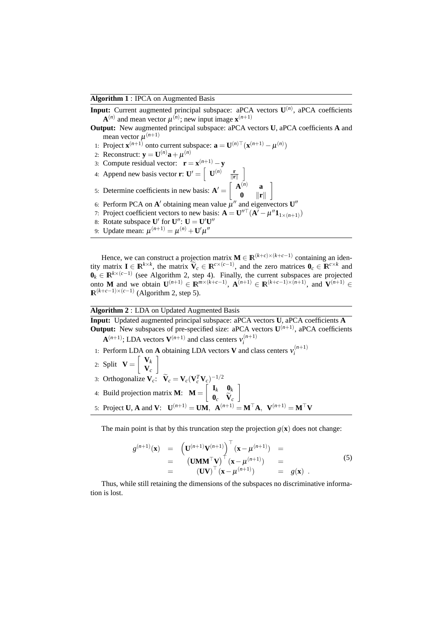#### **Algorithm 1** : IPCA on Augmented Basis

- **Input:** Current augmented principal subspace: aPCA vectors  $U^{(n)}$ , aPCA coefficients  $\mathbf{A}^{(n)}$  and mean vector  $\mu^{(n)}$ ; new input image  $\mathbf{x}^{(n+1)}$
- **Output:** New augmented principal subspace: aPCA vectors **U**, aPCA coefficients **A** and mean vector  $\mu^{(n+1)}$

1

- 1: Project  $\mathbf{x}^{(n+1)}$  onto current subspace:  $\mathbf{a} = \mathbf{U}^{(n)} \top (\mathbf{x}^{(n+1)} \boldsymbol{\mu}^{(n)})$
- 2: Reconstruct:  $\mathbf{y} = \mathbf{U}^{(n)}\mathbf{a} + \mu^{(n)}$
- 3: Compute residual vector:  $\mathbf{r} = \mathbf{x}^{(n+1)} \mathbf{y}$
- 4: Append new basis vector **r**:  $\mathbf{U}' = \begin{bmatrix} \mathbf{U}^{(n)} & \frac{\mathbf{r}}{\|\mathbf{r}\|} \end{bmatrix}$
- 5: Determine coefficients in new basis:  $\mathbf{A}' = \begin{bmatrix} \mathbf{A}^{(n)} & \mathbf{a} \\ \mathbf{a} & \mathbf{a} \end{bmatrix}$  $\mathbf{0}$  ||**r**||
- 6: Perform PCA on A' obtaining mean value  $\mu''$  and eigenvectors  $\mathbf{U}''$
- 7: Project coefficient vectors to new basis:  $\mathbf{A} = \mathbf{U}^{\prime\prime\top}(\mathbf{A}^{\prime} \mu^{\prime\prime}\mathbf{1}_{1 \times (n+1)})$
- 8: Rotate subspace  $\mathbf{U}'$  for  $\mathbf{U}''$ :  $\mathbf{U} = \mathbf{U}'\mathbf{U}''$
- 9: Update mean:  $\mu^{(n+1)} = \mu^{(n)} + U'\mu''$

Hence, we can construct a projection matrix  $\mathbf{M} \in \mathbb{R}^{(k+c)\times (k+c-1)}$  containing an identity matrix  $\mathbf{I} \in \mathbb{R}^{k \times k}$ , the matrix  $\tilde{\mathbf{V}}_c \in \mathbb{R}^{c \times (c-1)}$ , and the zero matrices  $\mathbf{0}_c \in \mathbb{R}^{c \times k}$  and  $\mathbf{0}_k \in \mathbb{R}^{k \times (c-1)}$  (see Algorithm 2, step 4). Finally, the current subspaces are projected onto **M** and we obtain  $\mathbf{U}^{(n+1)} \in \mathbb{R}^{m \times (k+c-1)}$ ,  $\mathbf{A}^{(n+1)} \in \mathbb{R}^{(k+c-1)\times (n+1)}$ , and  $\mathbf{V}^{(n+1)} \in$  $\mathbb{R}^{(k+c-1)\times(c-1)}$  (Algorithm 2, step 5).

#### **Algorithm 2** : LDA on Updated Augmented Basis

**Input:** Updated augmented principal subspace: aPCA vectors **U**, aPCA coefficients **A Output:** New subspaces of pre-specified size: aPCA vectors  $U^{(n+1)}$ , aPCA coefficients  $\mathbf{A}^{(n+1)}$ ; LDA vectors  $\mathbf{V}^{(n+1)}$  and class centers  $v_i^{(n+1)}$ *i*

- 1: Perform LDA on **A** obtaining LDA vectors **V** and class centers  $v_i^{(n+1)}$ *i*
- 2: Split  $\mathbf{V} = \begin{bmatrix} \mathbf{V}_k \\ \mathbf{V} \end{bmatrix}$ **V***c* 1
- 3: Orthogonalize  $\mathbf{V}_c$ :  $\tilde{\mathbf{V}}_c = \mathbf{V}_c (\mathbf{V}_c^T \mathbf{V}_c)^{-1/2}$
- 4: Build projection matrix **M**:  $\mathbf{M} = \begin{bmatrix} \mathbf{I}_k & \mathbf{0}_k \\ \mathbf{0} & \tilde{\mathbf{v}} \end{bmatrix}$  $\mathbf{0}_c$  **V**<sub>c</sub> 1
- 5: Project **U**, **A** and **V**:  $\mathbf{U}^{(n+1)} = \mathbf{U}\mathbf{M}$ ,  $\mathbf{A}^{(n+1)} = \mathbf{M}^{\top}\mathbf{A}$ ,  $\mathbf{V}^{(n+1)} = \mathbf{M}^{\top}\mathbf{V}$

The main point is that by this truncation step the projection  $g(\mathbf{x})$  does not change:

$$
g^{(n+1)}(\mathbf{x}) = \left(\mathbf{U}^{(n+1)}\mathbf{V}^{(n+1)}\right)^{\top} (\mathbf{x} - \mu^{(n+1)}) =
$$
  
\n
$$
= \left(\mathbf{U}\mathbf{M}\mathbf{M}^{\top}\mathbf{V}\right)^{\top} (\mathbf{x} - \mu^{(n+1)}) =
$$
  
\n
$$
= \left(\mathbf{U}\mathbf{V}\right)^{\top} (\mathbf{x} - \mu^{(n+1)}) = g(\mathbf{x}).
$$
\n(5)

Thus, while still retaining the dimensions of the subspaces no discriminative information is lost.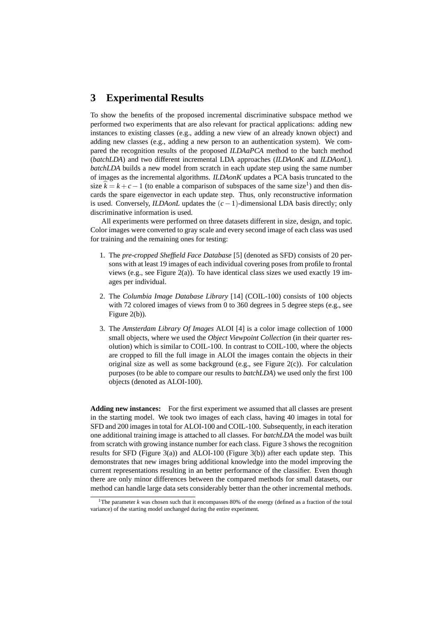## **3 Experimental Results**

To show the benefits of the proposed incremental discriminative subspace method we performed two experiments that are also relevant for practical applications: adding new instances to existing classes (e.g., adding a new view of an already known object) and adding new classes (e.g., adding a new person to an authentication system). We compared the recognition results of the proposed *ILDAaPCA* method to the batch method (*batchLDA*) and two different incremental LDA approaches (*ILDAonK* and *ILDAonL*). *batchLDA* builds a new model from scratch in each update step using the same number of images as the incremental algorithms. *ILDAonK* updates a PCA basis truncated to the size  $\hat{k} = k + c - 1$  (to enable a comparison of subspaces of the same size<sup>1</sup>) and then discards the spare eigenvector in each update step. Thus, only reconstructive information is used. Conversely, *ILDAonL* updates the  $(c-1)$ -dimensional LDA basis directly; only discriminative information is used.

All experiments were performed on three datasets different in size, design, and topic. Color images were converted to gray scale and every second image of each class was used for training and the remaining ones for testing:

- 1. The *pre-cropped Sheffield Face Database* [5] (denoted as SFD) consists of 20 persons with at least 19 images of each individual covering poses from profile to frontal views (e.g., see Figure 2(a)). To have identical class sizes we used exactly 19 images per individual.
- 2. The *Columbia Image Database Library* [14] (COIL-100) consists of 100 objects with 72 colored images of views from 0 to 360 degrees in 5 degree steps (e.g., see Figure 2(b)).
- 3. The *Amsterdam Library Of Images* ALOI [4] is a color image collection of 1000 small objects, where we used the *Object Viewpoint Collection* (in their quarter resolution) which is similar to COIL-100. In contrast to COIL-100, where the objects are cropped to fill the full image in ALOI the images contain the objects in their original size as well as some background (e.g., see Figure 2(c)). For calculation purposes (to be able to compare our results to *batchLDA*) we used only the first 100 objects (denoted as ALOI-100).

**Adding new instances:** For the first experiment we assumed that all classes are present in the starting model. We took two images of each class, having 40 images in total for SFD and 200 images in total for ALOI-100 and COIL-100. Subsequently, in each iteration one additional training image is attached to all classes. For *batchLDA* the model was built from scratch with growing instance number for each class. Figure 3 shows the recognition results for SFD (Figure 3(a)) and ALOI-100 (Figure 3(b)) after each update step. This demonstrates that new images bring additional knowledge into the model improving the current representations resulting in an better performance of the classifier. Even though there are only minor differences between the compared methods for small datasets, our method can handle large data sets considerably better than the other incremental methods.

<sup>1</sup>The parameter *k* was chosen such that it encompasses 80% of the energy (defined as a fraction of the total variance) of the starting model unchanged during the entire experiment.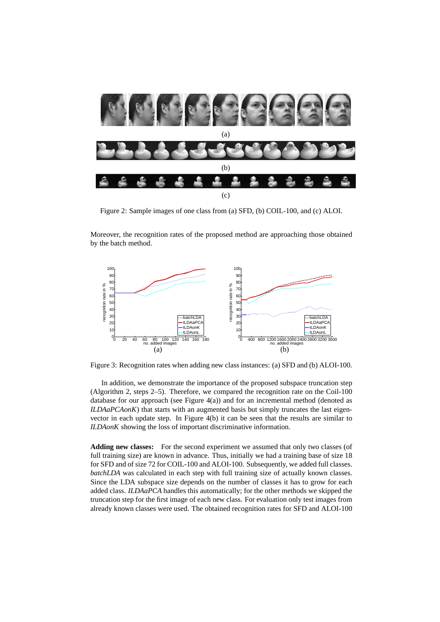

Figure 2: Sample images of one class from (a) SFD, (b) COIL-100, and (c) ALOI.

Moreover, the recognition rates of the proposed method are approaching those obtained by the batch method.



Figure 3: Recognition rates when adding new class instances: (a) SFD and (b) ALOI-100.

In addition, we demonstrate the importance of the proposed subspace truncation step (Algorithm 2, steps 2–5). Therefore, we compared the recognition rate on the Coil-100 database for our approach (see Figure 4(a)) and for an incremental method (denoted as *ILDAaPCAonK*) that starts with an augmented basis but simply truncates the last eigenvector in each update step. In Figure 4(b) it can be seen that the results are similar to *ILDAonK* showing the loss of important discriminative information.

**Adding new classes:** For the second experiment we assumed that only two classes (of full training size) are known in advance. Thus, initially we had a training base of size 18 for SFD and of size 72 for COIL-100 and ALOI-100. Subsequently, we added full classes. *batchLDA* was calculated in each step with full training size of actually known classes. Since the LDA subspace size depends on the number of classes it has to grow for each added class. *ILDAaPCA* handles this automatically; for the other methods we skipped the truncation step for the first image of each new class. For evaluation only test images from already known classes were used. The obtained recognition rates for SFD and ALOI-100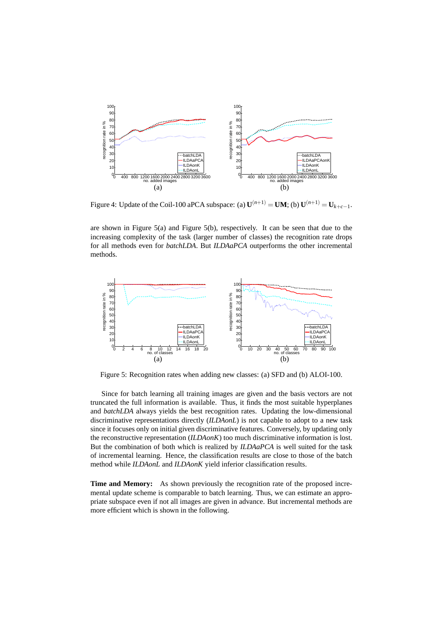

Figure 4: Update of the Coil-100 aPCA subspace: (a)  $\mathbf{U}^{(n+1)} = \mathbf{U}\mathbf{M}$ ; (b)  $\mathbf{U}^{(n+1)} = \mathbf{U}_{k+c-1}$ .

are shown in Figure 5(a) and Figure 5(b), respectively. It can be seen that due to the increasing complexity of the task (larger number of classes) the recognition rate drops for all methods even for *batchLDA*. But *ILDAaPCA* outperforms the other incremental methods.



Figure 5: Recognition rates when adding new classes: (a) SFD and (b) ALOI-100.

Since for batch learning all training images are given and the basis vectors are not truncated the full information is available. Thus, it finds the most suitable hyperplanes and *batchLDA* always yields the best recognition rates. Updating the low-dimensional discriminative representations directly (*ILDAonL*) is not capable to adopt to a new task since it focuses only on initial given discriminative features. Conversely, by updating only the reconstructive representation (*ILDAonK*) too much discriminative information is lost. But the combination of both which is realized by *ILDAaPCA* is well suited for the task of incremental learning. Hence, the classification results are close to those of the batch method while *ILDAonL* and *ILDAonK* yield inferior classification results.

**Time and Memory:** As shown previously the recognition rate of the proposed incremental update scheme is comparable to batch learning. Thus, we can estimate an appropriate subspace even if not all images are given in advance. But incremental methods are more efficient which is shown in the following.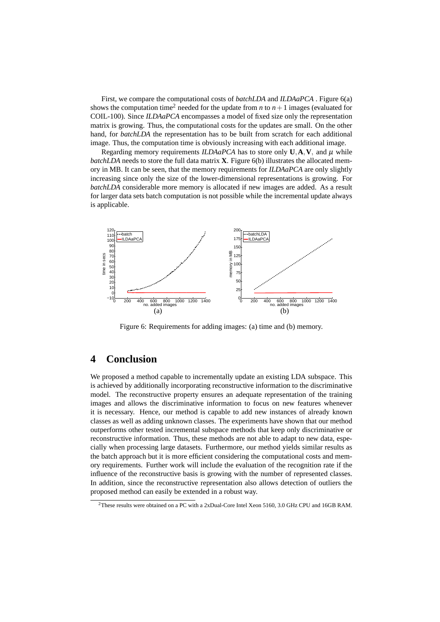First, we compare the computational costs of *batchLDA* and *ILDAaPCA* . Figure 6(a) shows the computation time<sup>2</sup> needed for the update from *n* to  $n+1$  images (evaluated for COIL-100). Since *ILDAaPCA* encompasses a model of fixed size only the representation matrix is growing. Thus, the computational costs for the updates are small. On the other hand, for *batchLDA* the representation has to be built from scratch for each additional image. Thus, the computation time is obviously increasing with each additional image.

Regarding memory requirements *ILDAaPCA* has to store only  $U, A, V$ , and  $\mu$  while *batchLDA* needs to store the full data matrix **X**. Figure 6(b) illustrates the allocated memory in MB. It can be seen, that the memory requirements for *ILDAaPCA* are only slightly increasing since only the size of the lower-dimensional representations is growing. For *batchLDA* considerable more memory is allocated if new images are added. As a result for larger data sets batch computation is not possible while the incremental update always is applicable.



Figure 6: Requirements for adding images: (a) time and (b) memory.

# **4 Conclusion**

We proposed a method capable to incrementally update an existing LDA subspace. This is achieved by additionally incorporating reconstructive information to the discriminative model. The reconstructive property ensures an adequate representation of the training images and allows the discriminative information to focus on new features whenever it is necessary. Hence, our method is capable to add new instances of already known classes as well as adding unknown classes. The experiments have shown that our method outperforms other tested incremental subspace methods that keep only discriminative or reconstructive information. Thus, these methods are not able to adapt to new data, especially when processing large datasets. Furthermore, our method yields similar results as the batch approach but it is more efficient considering the computational costs and memory requirements. Further work will include the evaluation of the recognition rate if the influence of the reconstructive basis is growing with the number of represented classes. In addition, since the reconstructive representation also allows detection of outliers the proposed method can easily be extended in a robust way.

<sup>2</sup>These results were obtained on a PC with a 2xDual-Core Intel Xeon 5160, 3.0 GHz CPU and 16GB RAM.